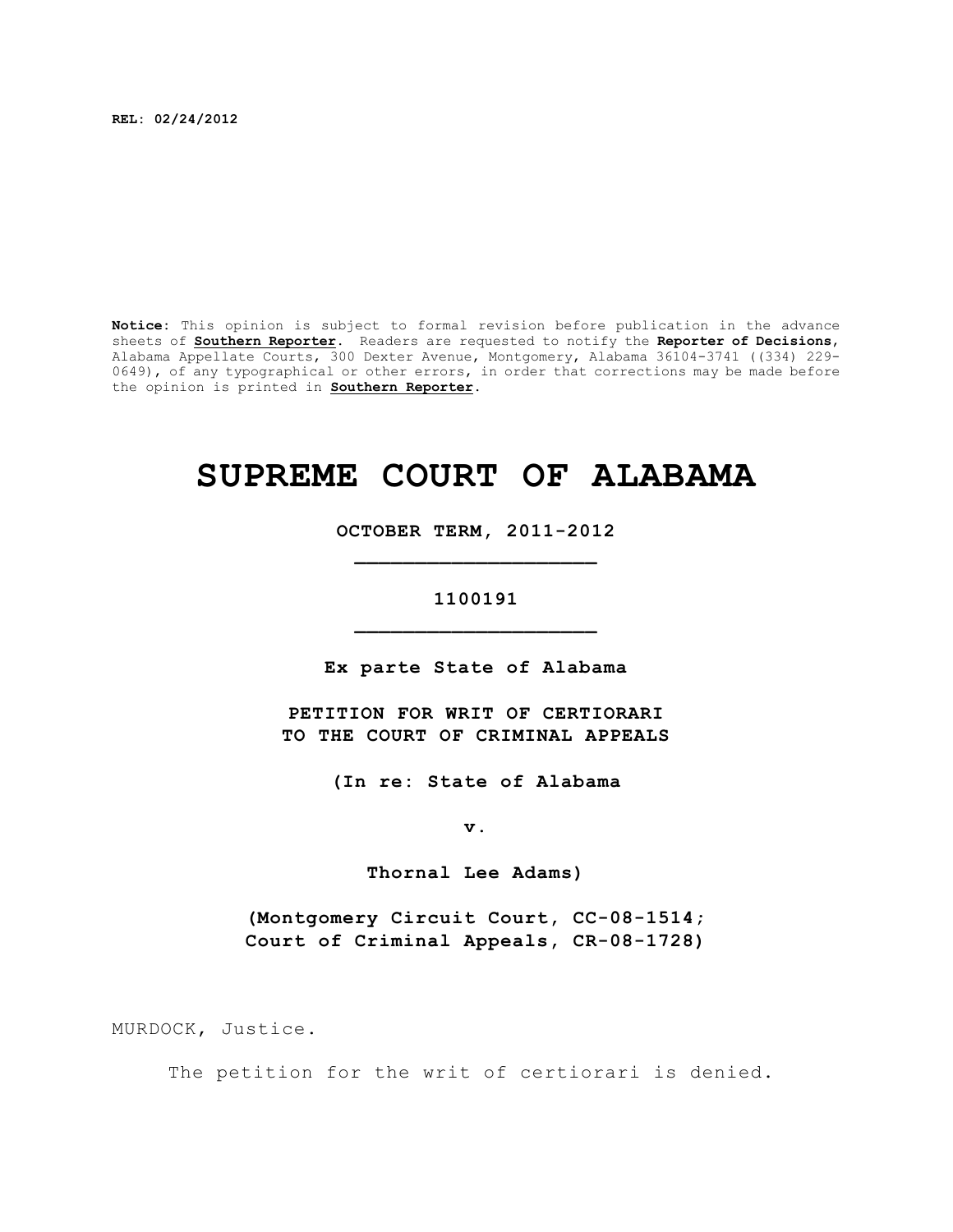**REL: 02/24/2012**

**Notice:** This opinion is subject to formal revision before publication in the advance sheets of **Southern Reporter**. Readers are requested to notify the **Reporter of Decisions**, Alabama Appellate Courts, 300 Dexter Avenue, Montgomery, Alabama 36104-3741 ((334) 229- 0649), of any typographical or other errors, in order that corrections may be made before the opinion is printed in **Southern Reporter**.

## **SUPREME COURT OF ALABAMA**

**OCTOBER TERM, 2011-2012 \_\_\_\_\_\_\_\_\_\_\_\_\_\_\_\_\_\_\_\_**

## **1100191 \_\_\_\_\_\_\_\_\_\_\_\_\_\_\_\_\_\_\_\_**

**Ex parte State of Alabama**

**PETITION FOR WRIT OF CERTIORARI TO THE COURT OF CRIMINAL APPEALS**

**(In re: State of Alabama**

**v.**

**Thornal Lee Adams)**

**(Montgomery Circuit Court, CC-08-1514; Court of Criminal Appeals, CR-08-1728)**

MURDOCK, Justice.

The petition for the writ of certiorari is denied.